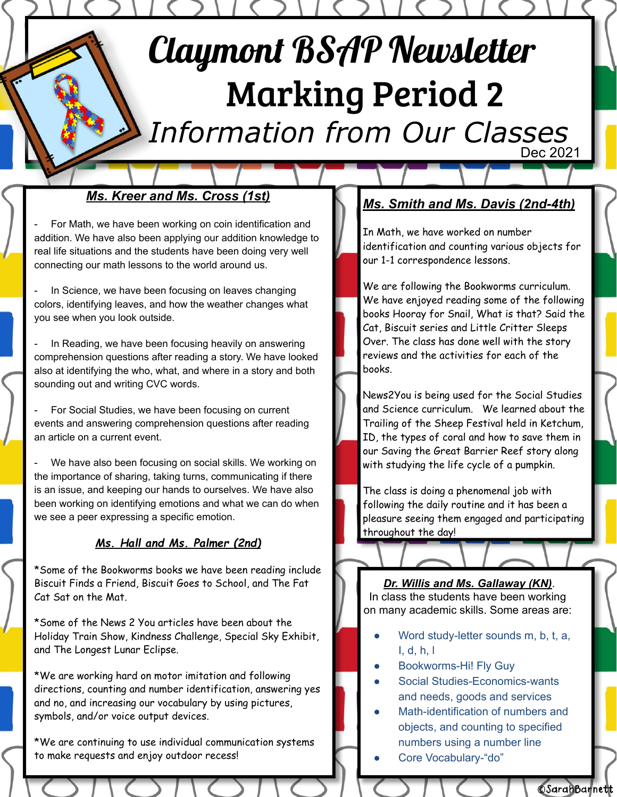# Claymont BSAP Newsletter Marking Period 2

*Information from Our Classes* Dec 2021

#### *Ms. Kreer and Ms. Cross (1st)*

For Math, we have been working on coin identification and addition. We have also been applying our addition knowledge to real life situations and the students have been doing very well connecting our math lessons to the world around us.

In Science, we have been focusing on leaves changing colors, identifying leaves, and how the weather changes what you see when you look outside.

In Reading, we have been focusing heavily on answering comprehension questions after reading a story. We have looked also at identifying the who, what, and where in a story and both sounding out and writing CVC words.

For Social Studies, we have been focusing on current events and answering comprehension questions after reading an article on a current event.

We have also been focusing on social skills. We working on the importance of sharing, taking turns, communicating if there is an issue, and keeping our hands to ourselves. We have also been working on identifying emotions and what we can do when we see a peer expressing a specific emotion.

#### *Ms. Hall and Ms. Palmer (2nd)*

\*Some of the Bookworms books we have been reading include Biscuit Finds a Friend, Biscuit Goes to School, and The Fat Cat Sat on the Mat.

\*Some of the News 2 You articles have been about the Holiday Train Show, Kindness Challenge, Special Sky Exhibit, and The Longest Lunar Eclipse.

\*We are working hard on motor imitation and following directions, counting and number identification, answering yes and no, and increasing our vocabulary by using pictures, symbols, and/or voice output devices.

\*We are continuing to use individual communication systems to make requests and enjoy outdoor recess!

### *Ms. Smith and Ms. Davis (2nd-4th)*

In Math, we have worked on number identification and counting various objects for our 1-1 correspondence lessons.

We are following the Bookworms curriculum. We have enjoyed reading some of the following books Hooray for Snail, What is that? Said the Cat, Biscuit series and Little Critter Sleeps Over. The class has done well with the story reviews and the activities for each of the books.

News2You is being used for the Social Studies and Science curriculum. We learned about the Trailing of the Sheep Festival held in Ketchum, ID, the types of coral and how to save them in our Saving the Great Barrier Reef story along with studying the life cycle of a pumpkin.

The class is doing a phenomenal job with following the daily routine and it has been a pleasure seeing them engaged and participating throughout the day!

*Dr. Willis and Ms. Gallaway (KN)*. In class the students have been working on many academic skills. Some areas are:

- Word study-letter sounds m, b, t, a, I, d, h, l
- Bookworms-Hi! Fly Guy
- Social Studies-Economics-wants and needs, goods and services
- Math-identification of numbers and objects, and counting to specified numbers using a number line

**CSarahBarnett** 

Core Vocabulary-"do"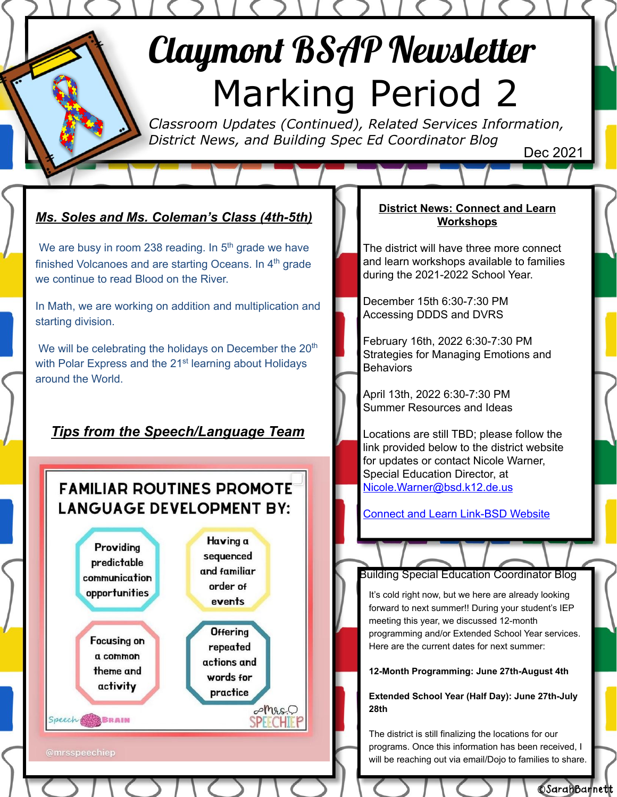## Claymont BSAP Newsletter Marking Period 2

*Classroom Updates (Continued), Related Services Information, District News, and Building Spec Ed Coordinator Blog* Dec 2021

## *Ms. Soles and Ms. Coleman's Class (4th-5th)*

We are busy in room 238 reading. In  $5<sup>th</sup>$  grade we have finished Volcanoes and are starting Oceans. In  $4<sup>th</sup>$  grade we continue to read Blood on the River.

In Math, we are working on addition and multiplication and starting division.

We will be celebrating the holidays on December the 20<sup>th</sup> with Polar Express and the 21<sup>st</sup> learning about Holidays around the World.

## *Tips from the Speech/Language Team*

## **FAMILIAR ROUTINES PROMOTE LANGUAGE DEVELOPMENT BY:**



#### **District News: Connect and Learn Workshops**

The district will have three more connect and learn workshops available to families during the 2021-2022 School Year.

December 15th 6:30-7:30 PM Accessing DDDS and DVRS

February 16th, 2022 6:30-7:30 PM Strategies for Managing Emotions and **Behaviors** 

April 13th, 2022 6:30-7:30 PM Summer Resources and Ideas

Locations are still TBD; please follow the link provided below to the district website for updates or contact Nicole Warner, Special Education Director, at [Nicole.Warner@bsd.k12.de.us](mailto:Nicole.Warner@bsd.k12.de.us)

[Connect and Learn Link-BSD Website](https://www.brandywineschools.org/Page/3924)

#### Building Special Education Coordinator Blog

It's cold right now, but we here are already looking forward to next summer!! During your student's IEP meeting this year, we discussed 12-month programming and/or Extended School Year services. Here are the current dates for next summer:

#### **12-Month Programming: June 27th-August 4th**

**Extended School Year (Half Day): June 27th-July 28th**

The district is still finalizing the locations for our programs. Once this information has been received, I will be reaching out via email/Dojo to families to share.

**CSarahBarnett**